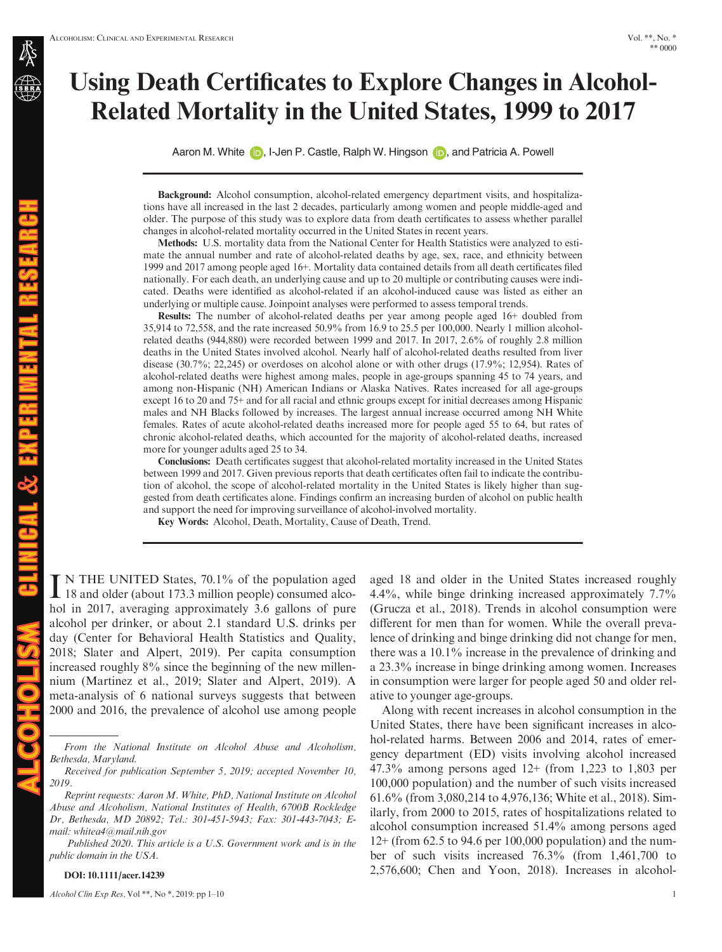# Using Death Certificates to Explore Changes in Alcohol-Related Mortality in the United States, 1999 to 2017

Aaron M. Whit[e](https://orcid.org/0000-0002-1610-6040) (i), I-Je[n](https://orcid.org/0000-0002-8469-004X) P. Castle, Ralph W. Hingson (i), and Patricia A. Powell

Background: Alcohol consumption, alcohol-related emergency department visits, and hospitalizations have all increased in the last 2 decades, particularly among women and people middle-aged and older. The purpose of this study was to explore data from death certificates to assess whether parallel changes in alcohol-related mortality occurred in the United States in recent years.

Methods: U.S. mortality data from the National Center for Health Statistics were analyzed to estimate the annual number and rate of alcohol-related deaths by age, sex, race, and ethnicity between 1999 and 2017 among people aged 16+. Mortality data contained details from all death certificates filed nationally. For each death, an underlying cause and up to 20 multiple or contributing causes were indicated. Deaths were identified as alcohol-related if an alcohol-induced cause was listed as either an underlying or multiple cause. Joinpoint analyses were performed to assess temporal trends.

Results: The number of alcohol-related deaths per year among people aged 16+ doubled from 35,914 to 72,558, and the rate increased 50.9% from 16.9 to 25.5 per 100,000. Nearly 1 million alcoholrelated deaths (944,880) were recorded between 1999 and 2017. In 2017, 2.6% of roughly 2.8 million deaths in the United States involved alcohol. Nearly half of alcohol-related deaths resulted from liver disease (30.7%; 22,245) or overdoses on alcohol alone or with other drugs (17.9%; 12,954). Rates of alcohol-related deaths were highest among males, people in age-groups spanning 45 to 74 years, and among non-Hispanic (NH) American Indians or Alaska Natives. Rates increased for all age-groups except 16 to 20 and 75+ and for all racial and ethnic groups except for initial decreases among Hispanic males and NH Blacks followed by increases. The largest annual increase occurred among NH White females. Rates of acute alcohol-related deaths increased more for people aged 55 to 64, but rates of chronic alcohol-related deaths, which accounted for the majority of alcohol-related deaths, increased more for younger adults aged 25 to 34.

Conclusions: Death certificates suggest that alcohol-related mortality increased in the United States between 1999 and 2017. Given previous reports that death certificates often fail to indicate the contribution of alcohol, the scope of alcohol-related mortality in the United States is likely higher than suggested from death certificates alone. Findings confirm an increasing burden of alcohol on public health and support the need for improving surveillance of alcohol-involved mortality.

Key Words: Alcohol, Death, Mortality, Cause of Death, Trend.

IN THE UNITED States, 70.1% of the population aged<br>18 and older (about 173.3 million people) consumed alcohol in 2017, averaging approximately 3.6 gallons of pure alcohol per drinker, or about 2.1 standard U.S. drinks per day (Center for Behavioral Health Statistics and Quality, 2018; Slater and Alpert, 2019). Per capita consumption increased roughly 8% since the beginning of the new millennium (Martinez et al., 2019; Slater and Alpert, 2019). A meta-analysis of 6 national surveys suggests that between 2000 and 2016, the prevalence of alcohol use among people

Reprint requests: Aaron M. White, PhD, National Institute on Alcohol Abuse and Alcoholism, National Institutes of Health, 6700B Rockledge Dr, Bethesda, MD 20892; Tel.: 301-451-5943; Fax: 301-443-7043; Email: [whitea4@mail.nih.gov](mailto:)

Published 2020. This article is a U.S. Government work and is in the public domain in the USA.

DOI: 10.1111/acer.14239

Alcohol Clin Exp Res, Vol<sup>\*\*</sup>, No<sup>\*</sup>, 2019: pp 1–10 1

aged 18 and older in the United States increased roughly 4.4%, while binge drinking increased approximately 7.7% (Grucza et al., 2018). Trends in alcohol consumption were different for men than for women. While the overall prevalence of drinking and binge drinking did not change for men, there was a 10.1% increase in the prevalence of drinking and a 23.3% increase in binge drinking among women. Increases in consumption were larger for people aged 50 and older relative to younger age-groups.

Along with recent increases in alcohol consumption in the United States, there have been significant increases in alcohol-related harms. Between 2006 and 2014, rates of emergency department (ED) visits involving alcohol increased 47.3% among persons aged 12+ (from 1,223 to 1,803 per 100,000 population) and the number of such visits increased 61.6% (from 3,080,214 to 4,976,136; White et al., 2018). Similarly, from 2000 to 2015, rates of hospitalizations related to alcohol consumption increased 51.4% among persons aged 12+ (from 62.5 to 94.6 per 100,000 population) and the number of such visits increased 76.3% (from 1,461,700 to 2,576,600; Chen and Yoon, 2018). Increases in alcohol-

From the National Institute on Alcohol Abuse and Alcoholism, Bethesda, Maryland.

Received for publication September 5, 2019; accepted November 10, 2019.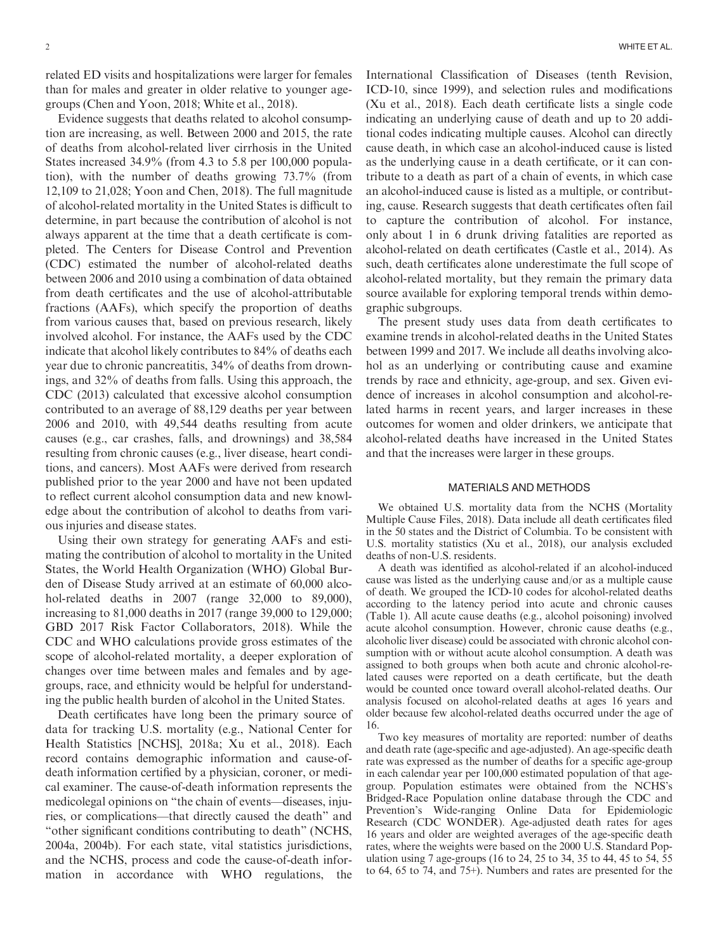related ED visits and hospitalizations were larger for females than for males and greater in older relative to younger agegroups (Chen and Yoon, 2018; White et al., 2018).

Evidence suggests that deaths related to alcohol consumption are increasing, as well. Between 2000 and 2015, the rate of deaths from alcohol-related liver cirrhosis in the United States increased 34.9% (from 4.3 to 5.8 per 100,000 population), with the number of deaths growing 73.7% (from 12,109 to 21,028; Yoon and Chen, 2018). The full magnitude of alcohol-related mortality in the United States is difficult to determine, in part because the contribution of alcohol is not always apparent at the time that a death certificate is completed. The Centers for Disease Control and Prevention (CDC) estimated the number of alcohol-related deaths between 2006 and 2010 using a combination of data obtained from death certificates and the use of alcohol-attributable fractions (AAFs), which specify the proportion of deaths from various causes that, based on previous research, likely involved alcohol. For instance, the AAFs used by the CDC indicate that alcohol likely contributes to 84% of deaths each year due to chronic pancreatitis, 34% of deaths from drownings, and 32% of deaths from falls. Using this approach, the CDC (2013) calculated that excessive alcohol consumption contributed to an average of 88,129 deaths per year between 2006 and 2010, with 49,544 deaths resulting from acute causes (e.g., car crashes, falls, and drownings) and 38,584 resulting from chronic causes (e.g., liver disease, heart conditions, and cancers). Most AAFs were derived from research published prior to the year 2000 and have not been updated to reflect current alcohol consumption data and new knowledge about the contribution of alcohol to deaths from various injuries and disease states.

Using their own strategy for generating AAFs and estimating the contribution of alcohol to mortality in the United States, the World Health Organization (WHO) Global Burden of Disease Study arrived at an estimate of 60,000 alcohol-related deaths in 2007 (range 32,000 to 89,000), increasing to 81,000 deaths in 2017 (range 39,000 to 129,000; GBD 2017 Risk Factor Collaborators, 2018). While the CDC and WHO calculations provide gross estimates of the scope of alcohol-related mortality, a deeper exploration of changes over time between males and females and by agegroups, race, and ethnicity would be helpful for understanding the public health burden of alcohol in the United States.

Death certificates have long been the primary source of data for tracking U.S. mortality (e.g., National Center for Health Statistics [NCHS], 2018a; Xu et al., 2018). Each record contains demographic information and cause-ofdeath information certified by a physician, coroner, or medical examiner. The cause-of-death information represents the medicolegal opinions on "the chain of events—diseases, injuries, or complications—that directly caused the death" and "other significant conditions contributing to death" (NCHS, 2004a, 2004b). For each state, vital statistics jurisdictions, and the NCHS, process and code the cause-of-death information in accordance with WHO regulations, the

International Classification of Diseases (tenth Revision, ICD-10, since 1999), and selection rules and modifications (Xu et al., 2018). Each death certificate lists a single code indicating an underlying cause of death and up to 20 additional codes indicating multiple causes. Alcohol can directly cause death, in which case an alcohol-induced cause is listed as the underlying cause in a death certificate, or it can contribute to a death as part of a chain of events, in which case an alcohol-induced cause is listed as a multiple, or contributing, cause. Research suggests that death certificates often fail to capture the contribution of alcohol. For instance, only about 1 in 6 drunk driving fatalities are reported as alcohol-related on death certificates (Castle et al., 2014). As such, death certificates alone underestimate the full scope of alcohol-related mortality, but they remain the primary data source available for exploring temporal trends within demographic subgroups.

The present study uses data from death certificates to examine trends in alcohol-related deaths in the United States between 1999 and 2017. We include all deaths involving alcohol as an underlying or contributing cause and examine trends by race and ethnicity, age-group, and sex. Given evidence of increases in alcohol consumption and alcohol-related harms in recent years, and larger increases in these outcomes for women and older drinkers, we anticipate that alcohol-related deaths have increased in the United States and that the increases were larger in these groups.

#### MATERIALS AND METHODS

We obtained U.S. mortality data from the NCHS (Mortality Multiple Cause Files, 2018). Data include all death certificates filed in the 50 states and the District of Columbia. To be consistent with U.S. mortality statistics (Xu et al., 2018), our analysis excluded deaths of non-U.S. residents.

A death was identified as alcohol-related if an alcohol-induced cause was listed as the underlying cause and/or as a multiple cause of death. We grouped the ICD-10 codes for alcohol-related deaths according to the latency period into acute and chronic causes (Table 1). All acute cause deaths (e.g., alcohol poisoning) involved acute alcohol consumption. However, chronic cause deaths (e.g., alcoholic liver disease) could be associated with chronic alcohol consumption with or without acute alcohol consumption. A death was assigned to both groups when both acute and chronic alcohol-related causes were reported on a death certificate, but the death would be counted once toward overall alcohol-related deaths. Our analysis focused on alcohol-related deaths at ages 16 years and older because few alcohol-related deaths occurred under the age of 16.

Two key measures of mortality are reported: number of deaths and death rate (age-specific and age-adjusted). An age-specific death rate was expressed as the number of deaths for a specific age-group in each calendar year per 100,000 estimated population of that agegroup. Population estimates were obtained from the NCHS's Bridged-Race Population online database through the CDC and Prevention's Wide-ranging Online Data for Epidemiologic Research (CDC WONDER). Age-adjusted death rates for ages 16 years and older are weighted averages of the age-specific death rates, where the weights were based on the 2000 U.S. Standard Population using 7 age-groups (16 to 24, 25 to 34, 35 to 44, 45 to 54, 55 to 64, 65 to 74, and 75+). Numbers and rates are presented for the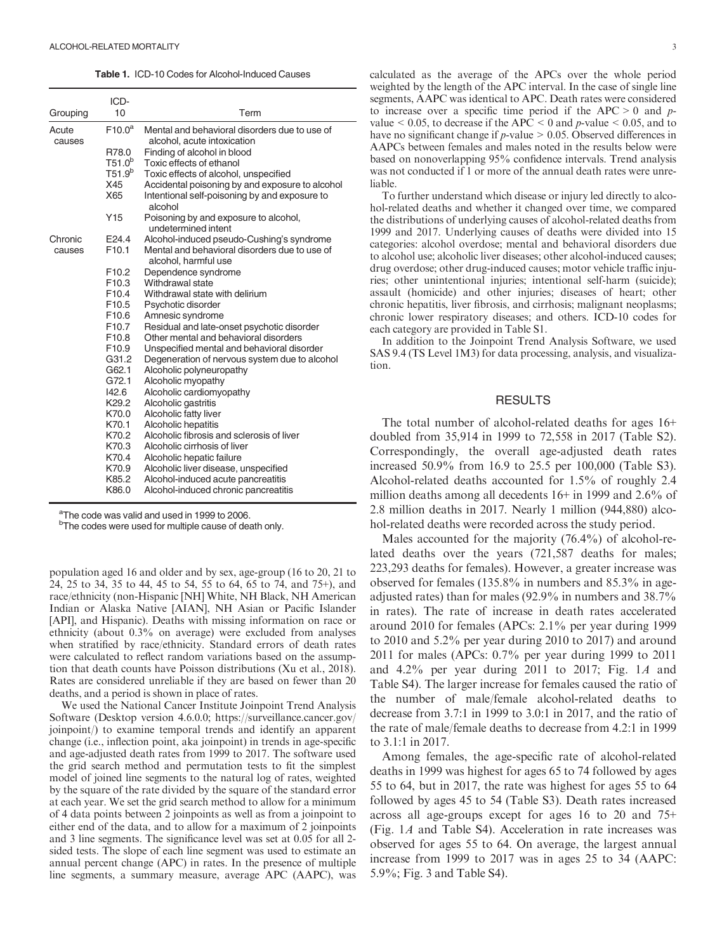Table 1. ICD-10 Codes for Alcohol-Induced Causes

|                 | ICD-               |                                                                              |  |  |  |
|-----------------|--------------------|------------------------------------------------------------------------------|--|--|--|
| Grouping        | 10                 | Term                                                                         |  |  |  |
| Acute<br>causes | F10.0 <sup>a</sup> | Mental and behavioral disorders due to use of<br>alcohol, acute intoxication |  |  |  |
|                 | R78.0              | Finding of alcohol in blood                                                  |  |  |  |
|                 | T51.0 <sup>b</sup> | Toxic effects of ethanol                                                     |  |  |  |
|                 | T51.9 <sup>b</sup> | Toxic effects of alcohol, unspecified                                        |  |  |  |
|                 | X45                | Accidental poisoning by and exposure to alcohol                              |  |  |  |
|                 | X65                | Intentional self-poisoning by and exposure to<br>alcohol                     |  |  |  |
|                 | Y <sub>15</sub>    | Poisoning by and exposure to alcohol,<br>undetermined intent                 |  |  |  |
| Chronic         | E <sub>24.4</sub>  | Alcohol-induced pseudo-Cushing's syndrome                                    |  |  |  |
| causes          | F <sub>10.1</sub>  | Mental and behavioral disorders due to use of<br>alcohol, harmful use        |  |  |  |
|                 | F <sub>10.2</sub>  | Dependence syndrome                                                          |  |  |  |
|                 | F <sub>10.3</sub>  | Withdrawal state                                                             |  |  |  |
|                 | F <sub>10.4</sub>  | Withdrawal state with delirium                                               |  |  |  |
|                 | F <sub>10.5</sub>  | Psychotic disorder                                                           |  |  |  |
|                 | F <sub>10.6</sub>  | Amnesic syndrome                                                             |  |  |  |
|                 | F <sub>10.7</sub>  | Residual and late-onset psychotic disorder                                   |  |  |  |
|                 | F <sub>10.8</sub>  | Other mental and behavioral disorders                                        |  |  |  |
|                 | F <sub>10.9</sub>  | Unspecified mental and behavioral disorder                                   |  |  |  |
|                 | G31.2              | Degeneration of nervous system due to alcohol                                |  |  |  |
|                 | G62.1              | Alcoholic polyneuropathy                                                     |  |  |  |
|                 | G72.1              | Alcoholic myopathy                                                           |  |  |  |
|                 | 142.6              | Alcoholic cardiomyopathy                                                     |  |  |  |
|                 | K29.2              | Alcoholic gastritis                                                          |  |  |  |
|                 | K70.0              | Alcoholic fatty liver                                                        |  |  |  |
|                 | K70.1              | Alcoholic hepatitis                                                          |  |  |  |
|                 | K70.2              | Alcoholic fibrosis and sclerosis of liver                                    |  |  |  |
|                 | K70.3              | Alcoholic cirrhosis of liver                                                 |  |  |  |
|                 | K70.4              | Alcoholic hepatic failure                                                    |  |  |  |
|                 | K70.9              | Alcoholic liver disease, unspecified                                         |  |  |  |
|                 | K85.2              | Alcohol-induced acute pancreatitis                                           |  |  |  |
|                 | K86.0              | Alcohol-induced chronic pancreatitis                                         |  |  |  |

<sup>a</sup>The code was valid and used in 1999 to 2006.

<sup>b</sup>The codes were used for multiple cause of death only.

population aged 16 and older and by sex, age-group (16 to 20, 21 to 24, 25 to 34, 35 to 44, 45 to 54, 55 to 64, 65 to 74, and 75+), and race/ethnicity (non-Hispanic [NH] White, NH Black, NH American Indian or Alaska Native [AIAN], NH Asian or Pacific Islander [API], and Hispanic). Deaths with missing information on race or ethnicity (about 0.3% on average) were excluded from analyses when stratified by race/ethnicity. Standard errors of death rates were calculated to reflect random variations based on the assumption that death counts have Poisson distributions (Xu et al., 2018). Rates are considered unreliable if they are based on fewer than 20 deaths, and a period is shown in place of rates.

We used the National Cancer Institute Joinpoint Trend Analysis Software (Desktop version 4.6.0.0; [https://surveillance.cancer.gov/](https://surveillance.cancer.gov/joinpoint/) [joinpoint/\)](https://surveillance.cancer.gov/joinpoint/) to examine temporal trends and identify an apparent change (i.e., inflection point, aka joinpoint) in trends in age-specific and age-adjusted death rates from 1999 to 2017. The software used the grid search method and permutation tests to fit the simplest model of joined line segments to the natural log of rates, weighted by the square of the rate divided by the square of the standard error at each year. We set the grid search method to allow for a minimum of 4 data points between 2 joinpoints as well as from a joinpoint to either end of the data, and to allow for a maximum of 2 joinpoints and 3 line segments. The significance level was set at 0.05 for all 2 sided tests. The slope of each line segment was used to estimate an annual percent change (APC) in rates. In the presence of multiple line segments, a summary measure, average APC (AAPC), was

calculated as the average of the APCs over the whole period weighted by the length of the APC interval. In the case of single line segments, AAPC was identical to APC. Death rates were considered to increase over a specific time period if the  $APC > 0$  and pvalue  $< 0.05$ , to decrease if the APC  $< 0$  and p-value  $< 0.05$ , and to have no significant change if  $p$ -value  $> 0.05$ . Observed differences in AAPCs between females and males noted in the results below were based on nonoverlapping 95% confidence intervals. Trend analysis was not conducted if 1 or more of the annual death rates were unreliable.

To further understand which disease or injury led directly to alcohol-related deaths and whether it changed over time, we compared the distributions of underlying causes of alcohol-related deaths from 1999 and 2017. Underlying causes of deaths were divided into 15 categories: alcohol overdose; mental and behavioral disorders due to alcohol use; alcoholic liver diseases; other alcohol-induced causes; drug overdose; other drug-induced causes; motor vehicle traffic injuries; other unintentional injuries; intentional self-harm (suicide); assault (homicide) and other injuries; diseases of heart; other chronic hepatitis, liver fibrosis, and cirrhosis; malignant neoplasms; chronic lower respiratory diseases; and others. ICD-10 codes for each category are provided in Table S1.

In addition to the Joinpoint Trend Analysis Software, we used SAS 9.4 (TS Level 1M3) for data processing, analysis, and visualization.

## RESULTS

The total number of alcohol-related deaths for ages 16+ doubled from 35,914 in 1999 to 72,558 in 2017 (Table S2). Correspondingly, the overall age-adjusted death rates increased 50.9% from 16.9 to 25.5 per 100,000 (Table S3). Alcohol-related deaths accounted for 1.5% of roughly 2.4 million deaths among all decedents 16+ in 1999 and 2.6% of 2.8 million deaths in 2017. Nearly 1 million (944,880) alcohol-related deaths were recorded across the study period.

Males accounted for the majority (76.4%) of alcohol-related deaths over the years (721,587 deaths for males; 223,293 deaths for females). However, a greater increase was observed for females (135.8% in numbers and 85.3% in ageadjusted rates) than for males (92.9% in numbers and 38.7% in rates). The rate of increase in death rates accelerated around 2010 for females (APCs: 2.1% per year during 1999 to 2010 and 5.2% per year during 2010 to 2017) and around 2011 for males (APCs: 0.7% per year during 1999 to 2011 and 4.2% per year during 2011 to 2017; Fig. 1A and Table S4). The larger increase for females caused the ratio of the number of male/female alcohol-related deaths to decrease from 3.7:1 in 1999 to 3.0:1 in 2017, and the ratio of the rate of male/female deaths to decrease from 4.2:1 in 1999 to 3.1:1 in 2017.

Among females, the age-specific rate of alcohol-related deaths in 1999 was highest for ages 65 to 74 followed by ages 55 to 64, but in 2017, the rate was highest for ages 55 to 64 followed by ages 45 to 54 (Table S3). Death rates increased across all age-groups except for ages 16 to 20 and 75+ (Fig. 1A and Table S4). Acceleration in rate increases was observed for ages 55 to 64. On average, the largest annual increase from 1999 to 2017 was in ages 25 to 34 (AAPC: 5.9%; Fig. 3 and Table S4).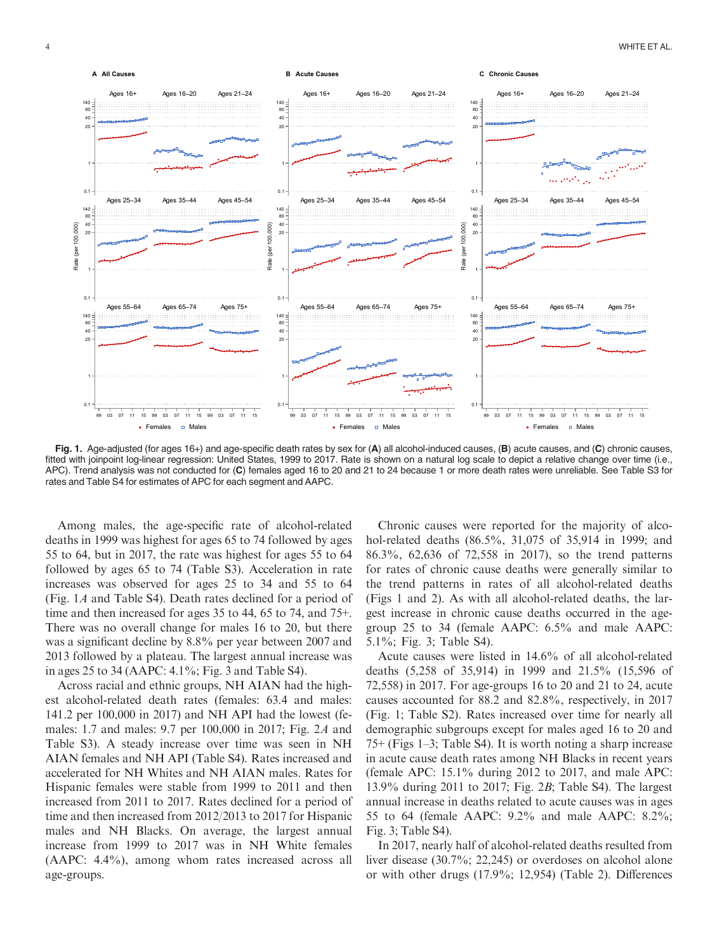

Fig. 1. Age-adjusted (for ages 16+) and age-specific death rates by sex for (A) all alcohol-induced causes, (B) acute causes, and (C) chronic causes, fitted with joinpoint log-linear regression: United States, 1999 to 2017. Rate is shown on a natural log scale to depict a relative change over time (i.e., APC). Trend analysis was not conducted for (C) females aged 16 to 20 and 21 to 24 because 1 or more death rates were unreliable. See Table S3 for rates and Table S4 for estimates of APC for each segment and AAPC.

Among males, the age-specific rate of alcohol-related deaths in 1999 was highest for ages 65 to 74 followed by ages 55 to 64, but in 2017, the rate was highest for ages 55 to 64 followed by ages 65 to 74 (Table S3). Acceleration in rate increases was observed for ages 25 to 34 and 55 to 64 (Fig. 1A and Table S4). Death rates declined for a period of time and then increased for ages 35 to 44, 65 to 74, and 75+. There was no overall change for males 16 to 20, but there was a significant decline by 8.8% per year between 2007 and 2013 followed by a plateau. The largest annual increase was in ages 25 to 34 (AAPC: 4.1%; Fig. 3 and Table S4).

Across racial and ethnic groups, NH AIAN had the highest alcohol-related death rates (females: 63.4 and males: 141.2 per 100,000 in 2017) and NH API had the lowest (females: 1.7 and males: 9.7 per 100,000 in 2017; Fig. 2A and Table S3). A steady increase over time was seen in NH AIAN females and NH API (Table S4). Rates increased and accelerated for NH Whites and NH AIAN males. Rates for Hispanic females were stable from 1999 to 2011 and then increased from 2011 to 2017. Rates declined for a period of time and then increased from 2012/2013 to 2017 for Hispanic males and NH Blacks. On average, the largest annual increase from 1999 to 2017 was in NH White females (AAPC: 4.4%), among whom rates increased across all age-groups.

Chronic causes were reported for the majority of alcohol-related deaths (86.5%, 31,075 of 35,914 in 1999; and 86.3%, 62,636 of 72,558 in 2017), so the trend patterns for rates of chronic cause deaths were generally similar to the trend patterns in rates of all alcohol-related deaths (Figs 1 and 2). As with all alcohol-related deaths, the largest increase in chronic cause deaths occurred in the agegroup 25 to 34 (female AAPC: 6.5% and male AAPC: 5.1%; Fig. 3; Table S4).

Acute causes were listed in 14.6% of all alcohol-related deaths (5,258 of 35,914) in 1999 and 21.5% (15,596 of 72,558) in 2017. For age-groups 16 to 20 and 21 to 24, acute causes accounted for 88.2 and 82.8%, respectively, in 2017 (Fig. 1; Table S2). Rates increased over time for nearly all demographic subgroups except for males aged 16 to 20 and 75+ (Figs 1–3; Table S4). It is worth noting a sharp increase in acute cause death rates among NH Blacks in recent years (female APC: 15.1% during 2012 to 2017, and male APC: 13.9% during 2011 to 2017; Fig. 2B; Table S4). The largest annual increase in deaths related to acute causes was in ages 55 to 64 (female AAPC: 9.2% and male AAPC: 8.2%; Fig. 3; Table S4).

In 2017, nearly half of alcohol-related deaths resulted from liver disease (30.7%; 22,245) or overdoses on alcohol alone or with other drugs (17.9%; 12,954) (Table 2). Differences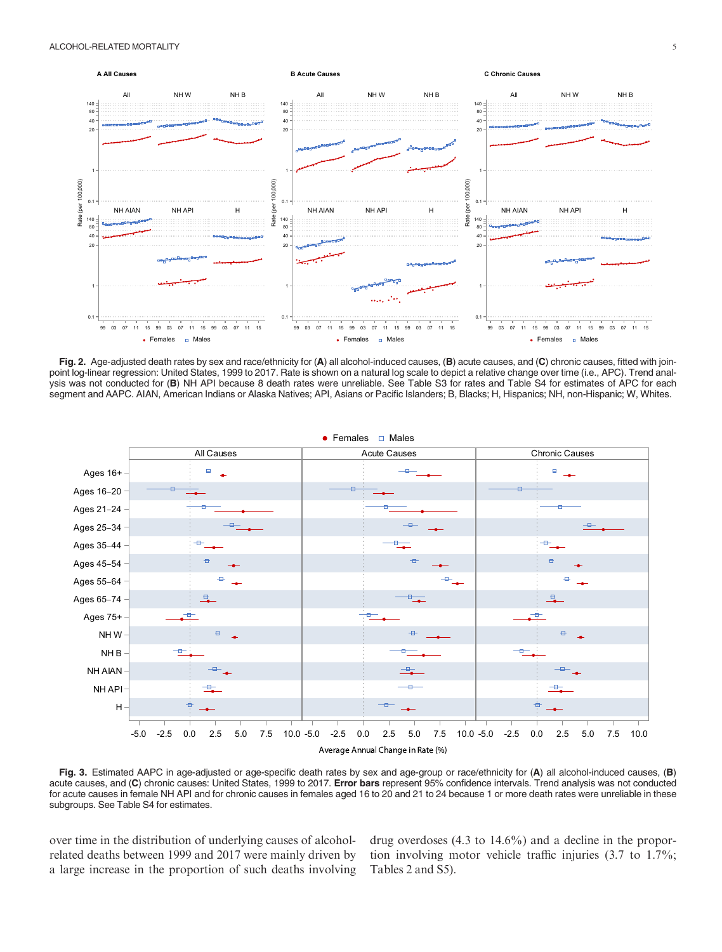

Fig. 2. Age-adjusted death rates by sex and race/ethnicity for (A) all alcohol-induced causes, (B) acute causes, and (C) chronic causes, fitted with join-<br>-point log-linear regression: United States, 1999 to 2017. Rate is ysis was not conducted for (B) NH API because 8 death rates were unreliable. See Table S3 for rates and Table S4 for estimates of APC for each segment and AAPC. AIAN, American Indians or Alaska Natives; API, Asians or Pacific Islanders; B, Blacks; H, Hispanics; NH, non-Hispanic; W, Whites.



Fig. 3. Estimated AAPC in age-adjusted or age-specific death rates by sex and age-group or race/ethnicity for (A) all alcohol-induced causes, (B) acute causes, and (C) chronic causes: United States, 1999 to 2017. Error bars represent 95% confidence intervals. Trend analysis was not conducted for acute causes in female NH API and for chronic causes in females aged 16 to 20 and 21 to 24 because 1 or more death rates were unreliable in these subgroups. See Table S4 for estimates.

over time in the distribution of underlying causes of alcoholrelated deaths between 1999 and 2017 were mainly driven by a large increase in the proportion of such deaths involving drug overdoses (4.3 to 14.6%) and a decline in the proportion involving motor vehicle traffic injuries (3.7 to 1.7%; Tables 2 and S5).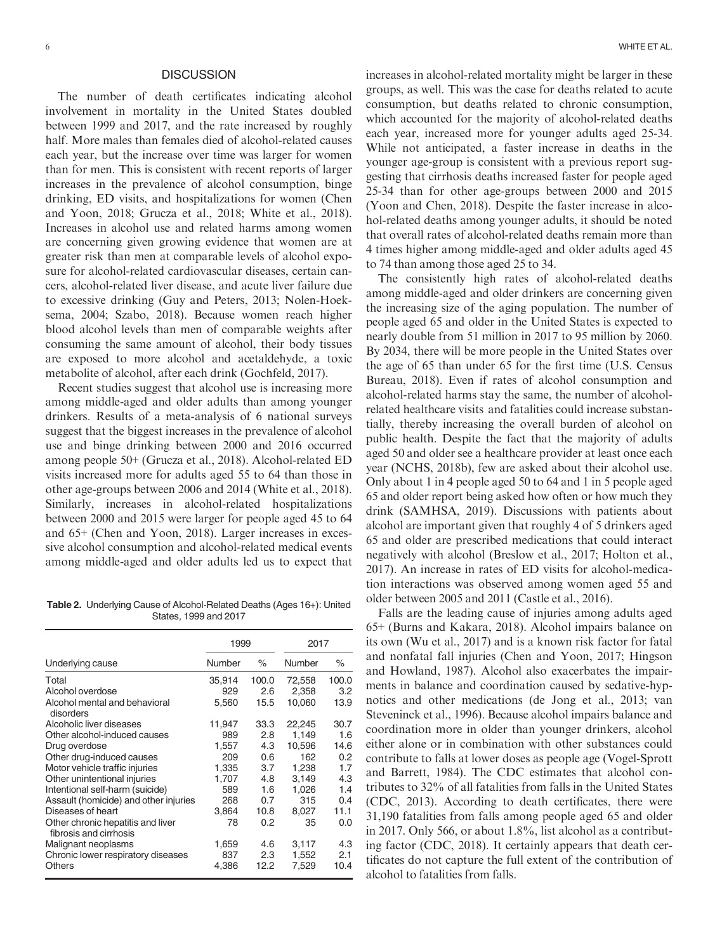# **DISCUSSION**

The number of death certificates indicating alcohol involvement in mortality in the United States doubled between 1999 and 2017, and the rate increased by roughly half. More males than females died of alcohol-related causes each year, but the increase over time was larger for women than for men. This is consistent with recent reports of larger increases in the prevalence of alcohol consumption, binge drinking, ED visits, and hospitalizations for women (Chen and Yoon, 2018; Grucza et al., 2018; White et al., 2018). Increases in alcohol use and related harms among women are concerning given growing evidence that women are at greater risk than men at comparable levels of alcohol exposure for alcohol-related cardiovascular diseases, certain cancers, alcohol-related liver disease, and acute liver failure due to excessive drinking (Guy and Peters, 2013; Nolen-Hoeksema, 2004; Szabo, 2018). Because women reach higher blood alcohol levels than men of comparable weights after consuming the same amount of alcohol, their body tissues are exposed to more alcohol and acetaldehyde, a toxic metabolite of alcohol, after each drink (Gochfeld, 2017).

Recent studies suggest that alcohol use is increasing more among middle-aged and older adults than among younger drinkers. Results of a meta-analysis of 6 national surveys suggest that the biggest increases in the prevalence of alcohol use and binge drinking between 2000 and 2016 occurred among people 50+ (Grucza et al., 2018). Alcohol-related ED visits increased more for adults aged 55 to 64 than those in other age-groups between 2006 and 2014 (White et al., 2018). Similarly, increases in alcohol-related hospitalizations between 2000 and 2015 were larger for people aged 45 to 64 and 65+ (Chen and Yoon, 2018). Larger increases in excessive alcohol consumption and alcohol-related medical events among middle-aged and older adults led us to expect that

Table 2. Underlying Cause of Alcohol-Related Deaths (Ages 16+): United States, 1999 and 2017

|                                                             | 1999   |       | 2017   |       |
|-------------------------------------------------------------|--------|-------|--------|-------|
| Underlying cause                                            | Number | $\%$  | Number | ℅     |
| Total                                                       | 35,914 | 100.0 | 72,558 | 100.0 |
| Alcohol overdose                                            | 929    | 2.6   | 2,358  | 3.2   |
| Alcohol mental and behavioral<br>disorders                  | 5,560  | 15.5  | 10,060 | 13.9  |
| Alcoholic liver diseases                                    | 11,947 | 33.3  | 22,245 | 30.7  |
| Other alcohol-induced causes                                | 989    | 2.8   | 1,149  | 1.6   |
| Drug overdose                                               | 1,557  | 4.3   | 10,596 | 14.6  |
| Other drug-induced causes                                   | 209    | 0.6   | 162    | 0.2   |
| Motor vehicle traffic injuries                              | 1,335  | 3.7   | 1,238  | 1.7   |
| Other unintentional injuries                                | 1,707  | 4.8   | 3,149  | 4.3   |
| Intentional self-harm (suicide)                             | 589    | 1.6   | 1.026  | 1.4   |
| Assault (homicide) and other injuries                       | 268    | 0.7   | 315    | 0.4   |
| Diseases of heart                                           | 3,864  | 10.8  | 8,027  | 11.1  |
| Other chronic hepatitis and liver<br>fibrosis and cirrhosis | 78     | 0.2   | 35     | 0.0   |
| Malignant neoplasms                                         | 1,659  | 4.6   | 3,117  | 4.3   |
| Chronic lower respiratory diseases                          | 837    | 2.3   | 1,552  | 2.1   |
| Others                                                      | 4,386  | 12.2  | 7,529  | 10.4  |

increases in alcohol-related mortality might be larger in these groups, as well. This was the case for deaths related to acute consumption, but deaths related to chronic consumption, which accounted for the majority of alcohol-related deaths each year, increased more for younger adults aged 25-34. While not anticipated, a faster increase in deaths in the younger age-group is consistent with a previous report suggesting that cirrhosis deaths increased faster for people aged 25-34 than for other age-groups between 2000 and 2015 (Yoon and Chen, 2018). Despite the faster increase in alcohol-related deaths among younger adults, it should be noted that overall rates of alcohol-related deaths remain more than 4 times higher among middle-aged and older adults aged 45 to 74 than among those aged 25 to 34.

The consistently high rates of alcohol-related deaths among middle-aged and older drinkers are concerning given the increasing size of the aging population. The number of people aged 65 and older in the United States is expected to nearly double from 51 million in 2017 to 95 million by 2060. By 2034, there will be more people in the United States over the age of 65 than under 65 for the first time (U.S. Census Bureau, 2018). Even if rates of alcohol consumption and alcohol-related harms stay the same, the number of alcoholrelated healthcare visits and fatalities could increase substantially, thereby increasing the overall burden of alcohol on public health. Despite the fact that the majority of adults aged 50 and older see a healthcare provider at least once each year (NCHS, 2018b), few are asked about their alcohol use. Only about 1 in 4 people aged 50 to 64 and 1 in 5 people aged 65 and older report being asked how often or how much they drink (SAMHSA, 2019). Discussions with patients about alcohol are important given that roughly 4 of 5 drinkers aged 65 and older are prescribed medications that could interact negatively with alcohol (Breslow et al., 2017; Holton et al., 2017). An increase in rates of ED visits for alcohol-medication interactions was observed among women aged 55 and older between 2005 and 2011 (Castle et al., 2016).

Falls are the leading cause of injuries among adults aged 65+ (Burns and Kakara, 2018). Alcohol impairs balance on its own (Wu et al., 2017) and is a known risk factor for fatal and nonfatal fall injuries (Chen and Yoon, 2017; Hingson and Howland, 1987). Alcohol also exacerbates the impairments in balance and coordination caused by sedative-hypnotics and other medications (de Jong et al., 2013; van Steveninck et al., 1996). Because alcohol impairs balance and coordination more in older than younger drinkers, alcohol either alone or in combination with other substances could contribute to falls at lower doses as people age (Vogel-Sprott and Barrett, 1984). The CDC estimates that alcohol contributes to 32% of all fatalities from falls in the United States (CDC, 2013). According to death certificates, there were 31,190 fatalities from falls among people aged 65 and older in 2017. Only 566, or about 1.8%, list alcohol as a contributing factor (CDC, 2018). It certainly appears that death certificates do not capture the full extent of the contribution of alcohol to fatalities from falls.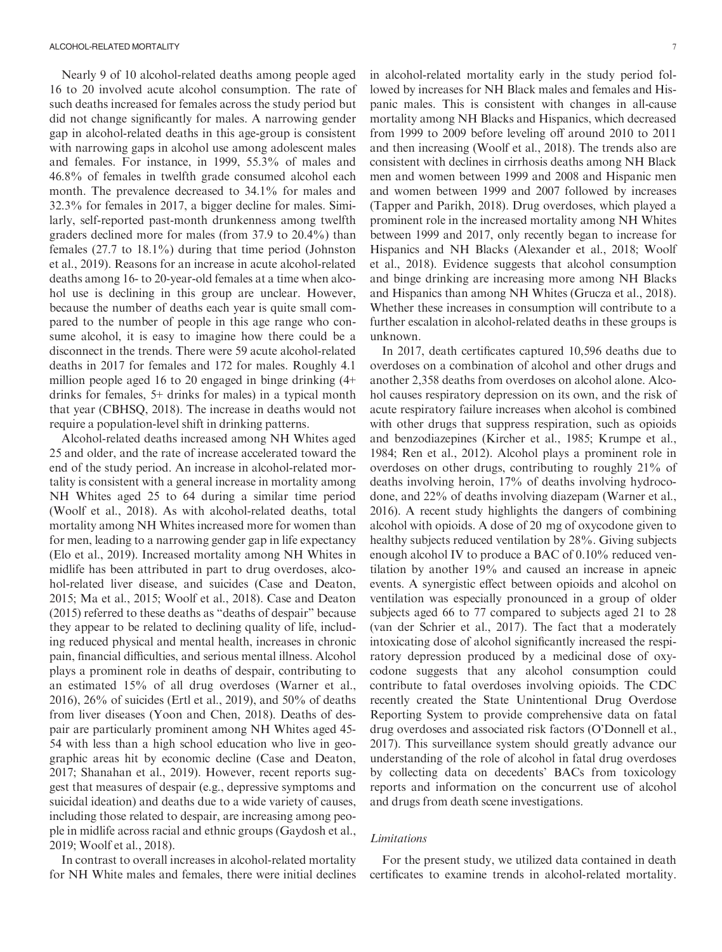Nearly 9 of 10 alcohol-related deaths among people aged 16 to 20 involved acute alcohol consumption. The rate of such deaths increased for females across the study period but did not change significantly for males. A narrowing gender gap in alcohol-related deaths in this age-group is consistent with narrowing gaps in alcohol use among adolescent males and females. For instance, in 1999, 55.3% of males and 46.8% of females in twelfth grade consumed alcohol each month. The prevalence decreased to 34.1% for males and 32.3% for females in 2017, a bigger decline for males. Similarly, self-reported past-month drunkenness among twelfth graders declined more for males (from 37.9 to 20.4%) than females (27.7 to 18.1%) during that time period (Johnston et al., 2019). Reasons for an increase in acute alcohol-related deaths among 16- to 20-year-old females at a time when alcohol use is declining in this group are unclear. However, because the number of deaths each year is quite small compared to the number of people in this age range who consume alcohol, it is easy to imagine how there could be a disconnect in the trends. There were 59 acute alcohol-related deaths in 2017 for females and 172 for males. Roughly 4.1 million people aged 16 to 20 engaged in binge drinking (4+ drinks for females, 5+ drinks for males) in a typical month that year (CBHSQ, 2018). The increase in deaths would not require a population-level shift in drinking patterns.

Alcohol-related deaths increased among NH Whites aged 25 and older, and the rate of increase accelerated toward the end of the study period. An increase in alcohol-related mortality is consistent with a general increase in mortality among NH Whites aged 25 to 64 during a similar time period (Woolf et al., 2018). As with alcohol-related deaths, total mortality among NH Whites increased more for women than for men, leading to a narrowing gender gap in life expectancy (Elo et al., 2019). Increased mortality among NH Whites in midlife has been attributed in part to drug overdoses, alcohol-related liver disease, and suicides (Case and Deaton, 2015; Ma et al., 2015; Woolf et al., 2018). Case and Deaton (2015) referred to these deaths as "deaths of despair" because they appear to be related to declining quality of life, including reduced physical and mental health, increases in chronic pain, financial difficulties, and serious mental illness. Alcohol plays a prominent role in deaths of despair, contributing to an estimated 15% of all drug overdoses (Warner et al., 2016), 26% of suicides (Ertl et al., 2019), and 50% of deaths from liver diseases (Yoon and Chen, 2018). Deaths of despair are particularly prominent among NH Whites aged 45- 54 with less than a high school education who live in geographic areas hit by economic decline (Case and Deaton, 2017; Shanahan et al., 2019). However, recent reports suggest that measures of despair (e.g., depressive symptoms and suicidal ideation) and deaths due to a wide variety of causes, including those related to despair, are increasing among people in midlife across racial and ethnic groups (Gaydosh et al., 2019; Woolf et al., 2018).

In contrast to overall increases in alcohol-related mortality for NH White males and females, there were initial declines in alcohol-related mortality early in the study period followed by increases for NH Black males and females and Hispanic males. This is consistent with changes in all-cause mortality among NH Blacks and Hispanics, which decreased from 1999 to 2009 before leveling off around 2010 to 2011 and then increasing (Woolf et al., 2018). The trends also are consistent with declines in cirrhosis deaths among NH Black men and women between 1999 and 2008 and Hispanic men and women between 1999 and 2007 followed by increases (Tapper and Parikh, 2018). Drug overdoses, which played a prominent role in the increased mortality among NH Whites between 1999 and 2017, only recently began to increase for Hispanics and NH Blacks (Alexander et al., 2018; Woolf et al., 2018). Evidence suggests that alcohol consumption and binge drinking are increasing more among NH Blacks and Hispanics than among NH Whites (Grucza et al., 2018). Whether these increases in consumption will contribute to a further escalation in alcohol-related deaths in these groups is unknown.

In 2017, death certificates captured 10,596 deaths due to overdoses on a combination of alcohol and other drugs and another 2,358 deaths from overdoses on alcohol alone. Alcohol causes respiratory depression on its own, and the risk of acute respiratory failure increases when alcohol is combined with other drugs that suppress respiration, such as opioids and benzodiazepines (Kircher et al., 1985; Krumpe et al., 1984; Ren et al., 2012). Alcohol plays a prominent role in overdoses on other drugs, contributing to roughly 21% of deaths involving heroin, 17% of deaths involving hydrocodone, and 22% of deaths involving diazepam (Warner et al., 2016). A recent study highlights the dangers of combining alcohol with opioids. A dose of 20 mg of oxycodone given to healthy subjects reduced ventilation by 28%. Giving subjects enough alcohol IV to produce a BAC of 0.10% reduced ventilation by another 19% and caused an increase in apneic events. A synergistic effect between opioids and alcohol on ventilation was especially pronounced in a group of older subjects aged 66 to 77 compared to subjects aged 21 to 28 (van der Schrier et al., 2017). The fact that a moderately intoxicating dose of alcohol significantly increased the respiratory depression produced by a medicinal dose of oxycodone suggests that any alcohol consumption could contribute to fatal overdoses involving opioids. The CDC recently created the State Unintentional Drug Overdose Reporting System to provide comprehensive data on fatal drug overdoses and associated risk factors (O'Donnell et al., 2017). This surveillance system should greatly advance our understanding of the role of alcohol in fatal drug overdoses by collecting data on decedents' BACs from toxicology reports and information on the concurrent use of alcohol and drugs from death scene investigations.

# Limitations

For the present study, we utilized data contained in death certificates to examine trends in alcohol-related mortality.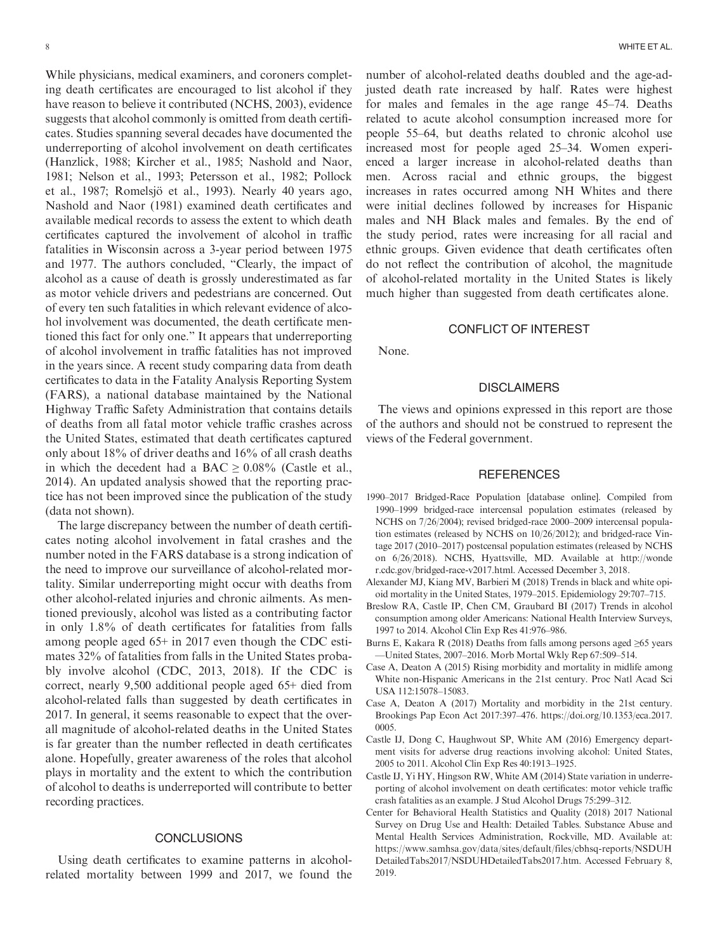While physicians, medical examiners, and coroners completing death certificates are encouraged to list alcohol if they have reason to believe it contributed (NCHS, 2003), evidence suggests that alcohol commonly is omitted from death certificates. Studies spanning several decades have documented the underreporting of alcohol involvement on death certificates (Hanzlick, 1988; Kircher et al., 1985; Nashold and Naor, 1981; Nelson et al., 1993; Petersson et al., 1982; Pollock et al., 1987; Romelsjö et al., 1993). Nearly 40 years ago, Nashold and Naor (1981) examined death certificates and available medical records to assess the extent to which death certificates captured the involvement of alcohol in traffic fatalities in Wisconsin across a 3-year period between 1975 and 1977. The authors concluded, "Clearly, the impact of alcohol as a cause of death is grossly underestimated as far as motor vehicle drivers and pedestrians are concerned. Out of every ten such fatalities in which relevant evidence of alcohol involvement was documented, the death certificate mentioned this fact for only one." It appears that underreporting of alcohol involvement in traffic fatalities has not improved in the years since. A recent study comparing data from death certificates to data in the Fatality Analysis Reporting System (FARS), a national database maintained by the National Highway Traffic Safety Administration that contains details of deaths from all fatal motor vehicle traffic crashes across the United States, estimated that death certificates captured only about 18% of driver deaths and 16% of all crash deaths in which the decedent had a BAC  $\geq 0.08\%$  (Castle et al., 2014). An updated analysis showed that the reporting practice has not been improved since the publication of the study (data not shown).

The large discrepancy between the number of death certificates noting alcohol involvement in fatal crashes and the number noted in the FARS database is a strong indication of the need to improve our surveillance of alcohol-related mortality. Similar underreporting might occur with deaths from other alcohol-related injuries and chronic ailments. As mentioned previously, alcohol was listed as a contributing factor in only 1.8% of death certificates for fatalities from falls among people aged 65+ in 2017 even though the CDC estimates 32% of fatalities from falls in the United States probably involve alcohol (CDC, 2013, 2018). If the CDC is correct, nearly 9,500 additional people aged 65+ died from alcohol-related falls than suggested by death certificates in 2017. In general, it seems reasonable to expect that the overall magnitude of alcohol-related deaths in the United States is far greater than the number reflected in death certificates alone. Hopefully, greater awareness of the roles that alcohol plays in mortality and the extent to which the contribution of alcohol to deaths is underreported will contribute to better recording practices.

# **CONCLUSIONS**

Using death certificates to examine patterns in alcoholrelated mortality between 1999 and 2017, we found the number of alcohol-related deaths doubled and the age-adjusted death rate increased by half. Rates were highest for males and females in the age range 45–74. Deaths related to acute alcohol consumption increased more for people 55–64, but deaths related to chronic alcohol use increased most for people aged 25–34. Women experienced a larger increase in alcohol-related deaths than men. Across racial and ethnic groups, the biggest increases in rates occurred among NH Whites and there were initial declines followed by increases for Hispanic males and NH Black males and females. By the end of the study period, rates were increasing for all racial and ethnic groups. Given evidence that death certificates often do not reflect the contribution of alcohol, the magnitude of alcohol-related mortality in the United States is likely much higher than suggested from death certificates alone.

# CONFLICT OF INTEREST

None.

## **DISCLAIMERS**

The views and opinions expressed in this report are those of the authors and should not be construed to represent the views of the Federal government.

### **REFERENCES**

- 1990–2017 Bridged-Race Population [database online]. Compiled from 1990–1999 bridged-race intercensal population estimates (released by NCHS on 7/26/2004); revised bridged-race 2000–2009 intercensal population estimates (released by NCHS on 10/26/2012); and bridged-race Vintage 2017 (2010–2017) postcensal population estimates (released by NCHS on 6/26/2018). NCHS, Hyattsville, MD. Available at [http://wonde](http://wonder.cdc.gov/bridged-race-v2017.html) [r.cdc.gov/bridged-race-v2017.html.](http://wonder.cdc.gov/bridged-race-v2017.html) Accessed December 3, 2018.
- Alexander MJ, Kiang MV, Barbieri M (2018) Trends in black and white opioid mortality in the United States, 1979–2015. Epidemiology 29:707–715.
- Breslow RA, Castle IP, Chen CM, Graubard BI (2017) Trends in alcohol consumption among older Americans: National Health Interview Surveys, 1997 to 2014. Alcohol Clin Exp Res 41:976–986.
- Burns E, Kakara R (2018) Deaths from falls among persons aged  $\geq 65$  years —United States, 2007–2016. Morb Mortal Wkly Rep 67:509–514.
- Case A, Deaton A (2015) Rising morbidity and mortality in midlife among White non-Hispanic Americans in the 21st century. Proc Natl Acad Sci USA 112:15078–15083.
- Case A, Deaton A (2017) Mortality and morbidity in the 21st century. Brookings Pap Econ Act 2017:397–476. [https://doi.org/10.1353/eca.2017.](https://doi.org/10.1353/eca.2017.0005) [0005](https://doi.org/10.1353/eca.2017.0005).
- Castle IJ, Dong C, Haughwout SP, White AM (2016) Emergency department visits for adverse drug reactions involving alcohol: United States, 2005 to 2011. Alcohol Clin Exp Res 40:1913–1925.
- Castle IJ, Yi HY, Hingson RW, White AM (2014) State variation in underreporting of alcohol involvement on death certificates: motor vehicle traffic crash fatalities as an example. J Stud Alcohol Drugs 75:299–312.
- Center for Behavioral Health Statistics and Quality (2018) 2017 National Survey on Drug Use and Health: Detailed Tables. Substance Abuse and Mental Health Services Administration, Rockville, MD. Available at: [https://www.samhsa.gov/data/sites/default/files/cbhsq-reports/NSDUH](https://www.samhsa.gov/data/sites/default/files/cbhsq-reports/NSDUHDetailedTabs2017/NSDUHDetailedTabs2017.htm) [DetailedTabs2017/NSDUHDetailedTabs2017.htm](https://www.samhsa.gov/data/sites/default/files/cbhsq-reports/NSDUHDetailedTabs2017/NSDUHDetailedTabs2017.htm). Accessed February 8, 2019.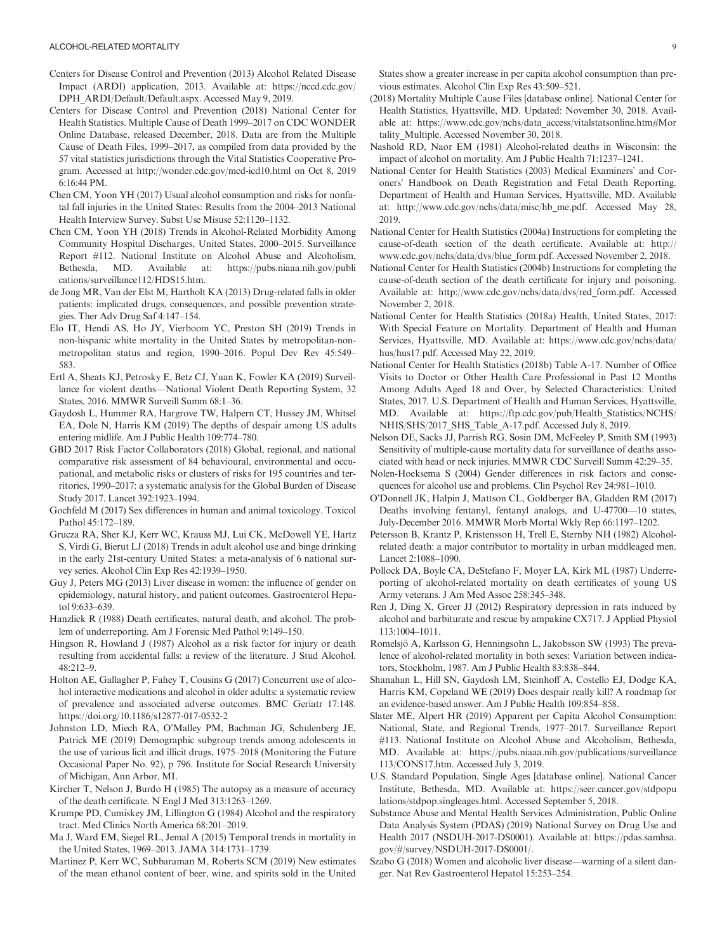- Centers for Disease Control and Prevention (2013) Alcohol Related Disease Impact (ARDI) application, 2013. Available at: [https://nccd.cdc.gov/](https://nccd.cdc.gov/DPH_ARDI/Default/Default.aspx) [DPH\\_ARDI/Default/Default.aspx.](https://nccd.cdc.gov/DPH_ARDI/Default/Default.aspx) Accessed May 9, 2019.
- Centers for Disease Control and Prevention (2018) National Center for Health Statistics. Multiple Cause of Death 1999–2017 on CDC WONDER Online Database, released December, 2018. Data are from the Multiple Cause of Death Files, 1999–2017, as compiled from data provided by the 57 vital statistics jurisdictions through the Vital Statistics Cooperative Program. Accessed at<http://wonder.cdc.gov/mcd-icd10.html> on Oct 8, 2019 6:16:44 PM.
- Chen CM, Yoon YH (2017) Usual alcohol consumption and risks for nonfatal fall injuries in the United States: Results from the 2004–2013 National Health Interview Survey. Subst Use Misuse 52:1120–1132.
- Chen CM, Yoon YH (2018) Trends in Alcohol-Related Morbidity Among Community Hospital Discharges, United States, 2000–2015. Surveillance Report #112. National Institute on Alcohol Abuse and Alcoholism, Bethesda, MD. Available at: [https://pubs.niaaa.nih.gov/publi](https://pubs.niaaa.nih.gov/publications/surveillance112/HDS15.htm) [cations/surveillance112/HDS15.htm](https://pubs.niaaa.nih.gov/publications/surveillance112/HDS15.htm).
- de Jong MR, Van der Elst M, Hartholt KA (2013) Drug-related falls in older patients: implicated drugs, consequences, and possible prevention strategies. Ther Adv Drug Saf 4:147–154.
- Elo IT, Hendi AS, Ho JY, Vierboom YC, Preston SH (2019) Trends in non-hispanic white mortality in the United States by metropolitan-nonmetropolitan status and region, 1990–2016. Popul Dev Rev 45:549– 583.
- Ertl A, Sheats KJ, Petrosky E, Betz CJ, Yuan K, Fowler KA (2019) Surveillance for violent deaths—National Violent Death Reporting System, 32 States, 2016. MMWR Surveill Summ 68:1–36.
- Gaydosh L, Hummer RA, Hargrove TW, Halpern CT, Hussey JM, Whitsel EA, Dole N, Harris KM (2019) The depths of despair among US adults entering midlife. Am J Public Health 109:774–780.
- GBD 2017 Risk Factor Collaborators (2018) Global, regional, and national comparative risk assessment of 84 behavioural, environmental and occupational, and metabolic risks or clusters of risks for 195 countries and territories, 1990–2017: a systematic analysis for the Global Burden of Disease Study 2017. Lancet 392:1923–1994.
- Gochfeld M (2017) Sex differences in human and animal toxicology. Toxicol Pathol 45:172–189.
- Grucza RA, Sher KJ, Kerr WC, Krauss MJ, Lui CK, McDowell YE, Hartz S, Virdi G, Bierut LJ (2018) Trends in adult alcohol use and binge drinking in the early 21st-century United States: a meta-analysis of 6 national survey series. Alcohol Clin Exp Res 42:1939–1950.
- Guy J, Peters MG (2013) Liver disease in women: the influence of gender on epidemiology, natural history, and patient outcomes. Gastroenterol Hepatol 9:633–639.
- Hanzlick R (1988) Death certificates, natural death, and alcohol. The problem of underreporting. Am J Forensic Med Pathol 9:149–150.
- Hingson R, Howland J (1987) Alcohol as a risk factor for injury or death resulting from accidental falls: a review of the literature. J Stud Alcohol. 48:212–9.
- Holton AE, Gallagher P, Fahey T, Cousins G (2017) Concurrent use of alcohol interactive medications and alcohol in older adults: a systematic review of prevalence and associated adverse outcomes. BMC Geriatr 17:148. <https://doi.org/10.1186/s12877-017-0532-2>
- Johnston LD, Miech RA, O'Malley PM, Bachman JG, Schulenberg JE, Patrick ME (2019) Demographic subgroup trends among adolescents in the use of various licit and illicit drugs, 1975–2018 (Monitoring the Future Occasional Paper No. 92), p 796. Institute for Social Research University of Michigan, Ann Arbor, MI.
- Kircher T, Nelson J, Burdo H (1985) The autopsy as a measure of accuracy of the death certificate. N Engl J Med 313:1263–1269.
- Krumpe PD, Cumiskey JM, Lillington G (1984) Alcohol and the respiratory tract. Med Clinics North America 68:201–2019.
- Ma J, Ward EM, Siegel RL, Jemal A (2015) Temporal trends in mortality in the United States, 1969–2013. JAMA 314:1731–1739.
- Martinez P, Kerr WC, Subbaraman M, Roberts SCM (2019) New estimates of the mean ethanol content of beer, wine, and spirits sold in the United

States show a greater increase in per capita alcohol consumption than previous estimates. Alcohol Clin Exp Res 43:509–521.

- (2018) Mortality Multiple Cause Files [database online]. National Center for Health Statistics, Hyattsville, MD. Updated: November 30, 2018. Available at: [https://www.cdc.gov/nchs/data\\_access/vitalstatsonline.htm#Mor](https://www.cdc.gov/nchs/data_access/vitalstatsonline.htm#Mortality_Multiple) tality Multiple. Accessed November 30, 2018.
- Nashold RD, Naor EM (1981) Alcohol-related deaths in Wisconsin: the impact of alcohol on mortality. Am J Public Health 71:1237–1241.
- National Center for Health Statistics (2003) Medical Examiners' and Coroners' Handbook on Death Registration and Fetal Death Reporting. Department of Health and Human Services, Hyattsville, MD. Available at: [http://www.cdc.gov/nchs/data/misc/hb\\_me.pdf](http://www.cdc.gov/nchs/data/misc/hb_me.pdf). Accessed May 28, 2019.
- National Center for Health Statistics (2004a) Instructions for completing the cause-of-death section of the death certificate. Available at: [http://](http://www.cdc.gov/nchs/data/dvs/blue_form.pdf) [www.cdc.gov/nchs/data/dvs/blue\\_form.pdf](http://www.cdc.gov/nchs/data/dvs/blue_form.pdf). Accessed November 2, 2018.
- National Center for Health Statistics (2004b) Instructions for completing the cause-of-death section of the death certificate for injury and poisoning. Available at: [http://www.cdc.gov/nchs/data/dvs/red\\_form.pdf](http://www.cdc.gov/nchs/data/dvs/red_form.pdf). Accessed November 2, 2018.
- National Center for Health Statistics (2018a) Health, United States, 2017: With Special Feature on Mortality. Department of Health and Human Services, Hyattsville, MD. Available at: [https://www.cdc.gov/nchs/data/](https://www.cdc.gov/nchs/data/hus/hus17.pdf) [hus/hus17.pdf.](https://www.cdc.gov/nchs/data/hus/hus17.pdf) Accessed May 22, 2019.
- National Center for Health Statistics (2018b) Table A-17. Number of Office Visits to Doctor or Other Health Care Professional in Past 12 Months Among Adults Aged 18 and Over, by Selected Characteristics: United States, 2017. U.S. Department of Health and Human Services, Hyattsville, MD. Available at: [https://ftp.cdc.gov/pub/Health\\_Statistics/NCHS/](https://ftp.cdc.gov/pub/Health_Statistics/NCHS/NHIS/SHS/2017_SHS_Table_A-17.pdf) [NHIS/SHS/2017\\_SHS\\_Table\\_A-17.pdf.](https://ftp.cdc.gov/pub/Health_Statistics/NCHS/NHIS/SHS/2017_SHS_Table_A-17.pdf) Accessed July 8, 2019.
- Nelson DE, Sacks JJ, Parrish RG, Sosin DM, McFeeley P, Smith SM (1993) Sensitivity of multiple-cause mortality data for surveillance of deaths associated with head or neck injuries. MMWR CDC Surveill Summ 42:29–35.
- Nolen-Hoeksema S (2004) Gender differences in risk factors and consequences for alcohol use and problems. Clin Psychol Rev 24:981–1010.
- O'Donnell JK, Halpin J, Mattson CL, Goldberger BA, Gladden RM (2017) Deaths involving fentanyl, fentanyl analogs, and U-47700—10 states, July-December 2016. MMWR Morb Mortal Wkly Rep 66:1197–1202.
- Petersson B, Krantz P, Kristensson H, Trell E, Sternby NH (1982) Alcoholrelated death: a major contributor to mortality in urban middleaged men. Lancet 2:1088–1090.
- Pollock DA, Boyle CA, DeStefano F, Moyer LA, Kirk ML (1987) Underreporting of alcohol-related mortality on death certificates of young US Army veterans. J Am Med Assoc 258:345–348.
- Ren J, Ding X, Greer JJ (2012) Respiratory depression in rats induced by alcohol and barbiturate and rescue by ampakine CX717. J Applied Physiol 113:1004–1011.
- Romelsjö A, Karlsson G, Henningsohn L, Jakobsson SW (1993) The prevalence of alcohol-related mortality in both sexes: Variation between indicators, Stockholm, 1987. Am J Public Health 83:838–844.
- Shanahan L, Hill SN, Gaydosh LM, Steinhoff A, Costello EJ, Dodge KA, Harris KM, Copeland WE (2019) Does despair really kill? A roadmap for an evidence-based answer. Am J Public Health 109:854–858.
- Slater ME, Alpert HR (2019) Apparent per Capita Alcohol Consumption: National, State, and Regional Trends, 1977–2017. Surveillance Report #113. National Institute on Alcohol Abuse and Alcoholism, Bethesda, MD. Available at: [https://pubs.niaaa.nih.gov/publications/surveillance](https://pubs.niaaa.nih.gov/publications/surveillance113/CONS17.htm) [113/CONS17.htm.](https://pubs.niaaa.nih.gov/publications/surveillance113/CONS17.htm) Accessed July 3, 2019.
- U.S. Standard Population, Single Ages [database online]. National Cancer Institute, Bethesda, MD. Available at: [https://seer.cancer.gov/stdpopu](https://seer.cancer.gov/stdpopulations/stdpop.singleages.html) [lations/stdpop.singleages.html](https://seer.cancer.gov/stdpopulations/stdpop.singleages.html). Accessed September 5, 2018.
- Substance Abuse and Mental Health Services Administration, Public Online Data Analysis System (PDAS) (2019) National Survey on Drug Use and Health 2017 (NSDUH-2017-DS0001). Available at: [https://pdas.samhsa.](https://pdas.samhsa.gov/#/survey/NSDUH-2017-DS0001/) [gov/#/survey/NSDUH-2017-DS0001/.](https://pdas.samhsa.gov/#/survey/NSDUH-2017-DS0001/)
- Szabo G (2018) Women and alcoholic liver disease—warning of a silent danger. Nat Rev Gastroenterol Hepatol 15:253–254.